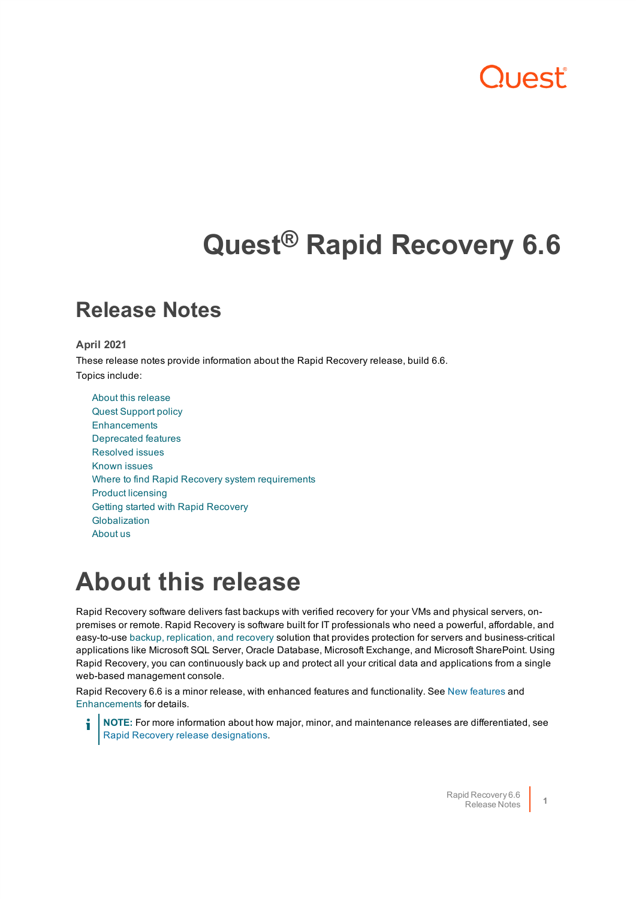# 11055

# **Quest® Rapid Recovery 6.6**

### **Release Notes**

### **April 2021**

These release notes provide information about the Rapid Recovery release, build 6.6. Topics include:

About this [release](#page-0-0) Quest [Support](#page-1-0) policy **[Enhancements](#page-1-1)** [Deprecated](#page-2-0) features [Resolved](#page-2-1) issues [Known](#page-4-0) issues Where to find Rapid Recovery system [requirements](#page-7-0) Product [licensing](#page-8-0) Getting started [with Rapid](#page-9-0) Recovery [Globalization](#page-12-0) [About](#page-13-0) us

## <span id="page-0-0"></span>**About this release**

Rapid Recovery software delivers fast backups with verified recovery for your VMs and physical servers, onpremises or remote. Rapid Recovery is software built for IT professionals who need a powerful, affordable, and easy-to-use backup, [replication,](https://www.quest.com/products/rapid-recovery/) and recovery solution that provides protection for servers and business-critical applications like Microsoft SQL Server, Oracle Database, Microsoft Exchange, and Microsoft SharePoint. Using Rapid Recovery, you can continuously back up and protect all your critical data and applications from a single web-based management console.

Rapid Recovery 6.6 is a minor release, with enhanced features and functionality. See New features and [Enhancements](#page-1-1) for details.

**NOTE:** For more information about how major, minor, and maintenance releases are differentiated, see Rapid Recovery release designations.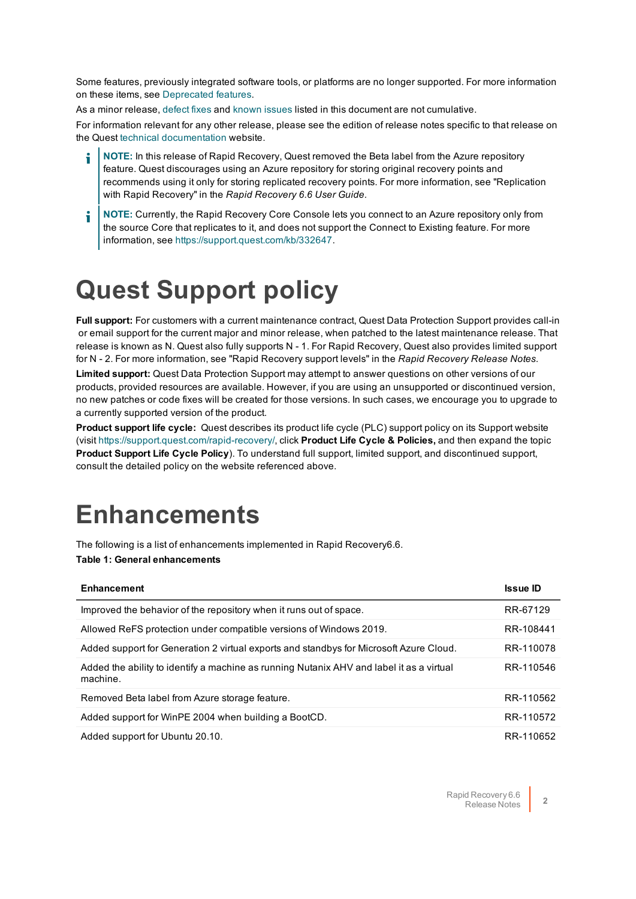Some features, previously integrated software tools, or platforms are no longer supported. For more information on these items, see [Deprecated](#page-2-0) features.

As a minor release, defect fixes and known issues listed in this document are not cumulative.

For information relevant for any other release, please see the edition of release notes specific to that release on the Quest technical [documentation](https://support.quest.com/rapid-recovery/technical-documents) website.

- **NOTE:** In this release of Rapid Recovery, Quest removed the Beta label from the Azure repository feature. Quest discourages using an Azure repository for storing original recovery points and recommends using it only for storing replicated recovery points. For more information, see "Replication with Rapid Recovery" in the *Rapid Recovery 6.6 User Guide.*
- i **NOTE:** Currently, the Rapid Recovery Core Console lets you connect to an Azure repository only from the source Core that replicates to it, and does not support the Connect to Existing feature. For more information, see <https://support.quest.com/kb/332647>.

## <span id="page-1-0"></span>**Quest Support policy**

**Full support:** For customers with a current maintenance contract, Quest Data Protection Support provides call-in or email support for the current major and minor release, when patched to the latest maintenance release. That release is known as N. Quest also fully supports N - 1. For Rapid Recovery, Quest also provides limited support for N - 2. For more information, see "Rapid Recovery support levels" in the *Rapid Recovery Release Notes*.

**Limited support:** Quest Data Protection Support may attempt to answer questions on other versions of our products, provided resources are available. However, if you are using an unsupported or discontinued version, no new patches or code fixes will be created for those versions. In such cases, we encourage you to upgrade to a currently supported version of the product.

**Product support life cycle:** Quest describes its product life cycle (PLC) support policy on its Support website (visit<https://support.quest.com/rapid-recovery/>, click **Product Life Cycle & Policies,** and then expand the topic **Product Support Life Cycle Policy**). To understand full support, limited support, and discontinued support, consult the detailed policy on the website referenced above.

## <span id="page-1-1"></span>**Enhancements**

The following is a list of enhancements implemented in Rapid Recovery6.6.

#### **Table 1: General enhancements**

| <b>Enhancement</b>                                                                                   | <b>Issue ID</b> |
|------------------------------------------------------------------------------------------------------|-----------------|
| Improved the behavior of the repository when it runs out of space.                                   | RR-67129        |
| Allowed ReFS protection under compatible versions of Windows 2019.                                   | RR-108441       |
| Added support for Generation 2 virtual exports and standbys for Microsoft Azure Cloud.               | RR-110078       |
| Added the ability to identify a machine as running Nutanix AHV and label it as a virtual<br>machine. | RR-110546       |
| Removed Beta label from Azure storage feature.                                                       | RR-110562       |
| Added support for WinPE 2004 when building a BootCD.                                                 | RR-110572       |
| Added support for Ubuntu 20.10.                                                                      | RR-110652       |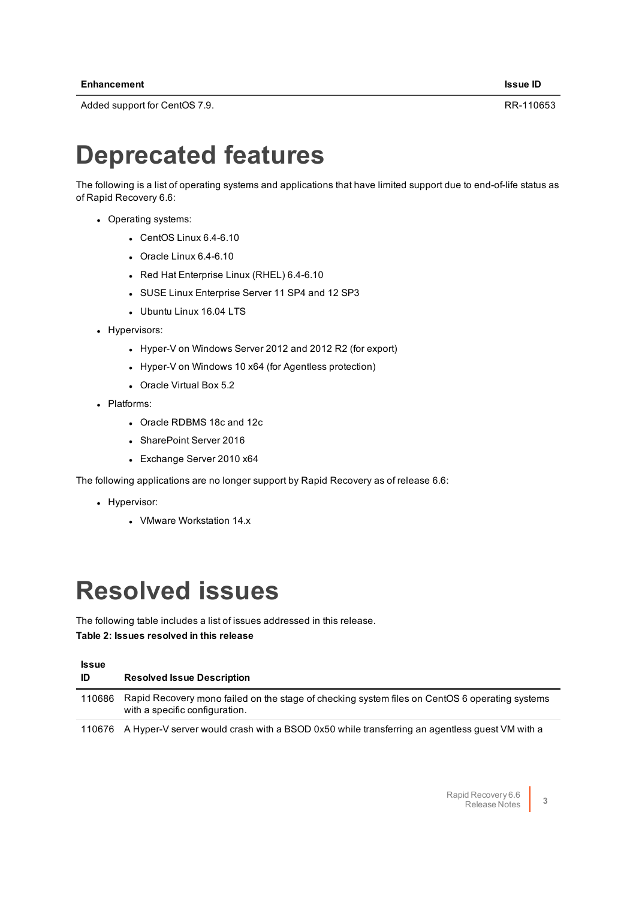<span id="page-2-0"></span>Added support for CentOS 7.9. RR-110653

## **Deprecated features**

The following is a list of operating systems and applications that have limited support due to end-of-life status as of Rapid Recovery 6.6:

- Operating systems:
	- $\cdot$  CentOS Linux 6.4-6.10
	- $\cdot$  Oracle Linux 6.4-6.10
	- Red Hat Enterprise Linux (RHEL) 6.4-6.10
	- SUSE Linux Enterprise Server 11 SP4 and 12 SP3
	- Ubuntu Linux 16.04 LTS
- Hypervisors:
	- Hyper-V on Windows Server 2012 and 2012 R2 (for export)
	- Hyper-V on Windows 10 x64 (for Agentless protection)
	- Oracle Virtual Box 5.2
- Platforms:
	- Oracle RDBMS 18c and 12c
	- SharePoint Server 2016
	- Exchange Server 2010 x64

The following applications are no longer support by Rapid Recovery as of release 6.6:

- Hypervisor:
	- VMware Workstation 14.x

## <span id="page-2-1"></span>**Resolved issues**

The following table includes a list of issues addressed in this release. **Table 2: Issues resolved in this release**

| <b>Issue</b><br>ID | <b>Resolved Issue Description</b>                                                                                                |
|--------------------|----------------------------------------------------------------------------------------------------------------------------------|
| 110686             | Rapid Recovery mono failed on the stage of checking system files on CentOS 6 operating systems<br>with a specific configuration. |
| 110676             | A Hyper-V server would crash with a BSOD 0x50 while transferring an agentless guest VM with a                                    |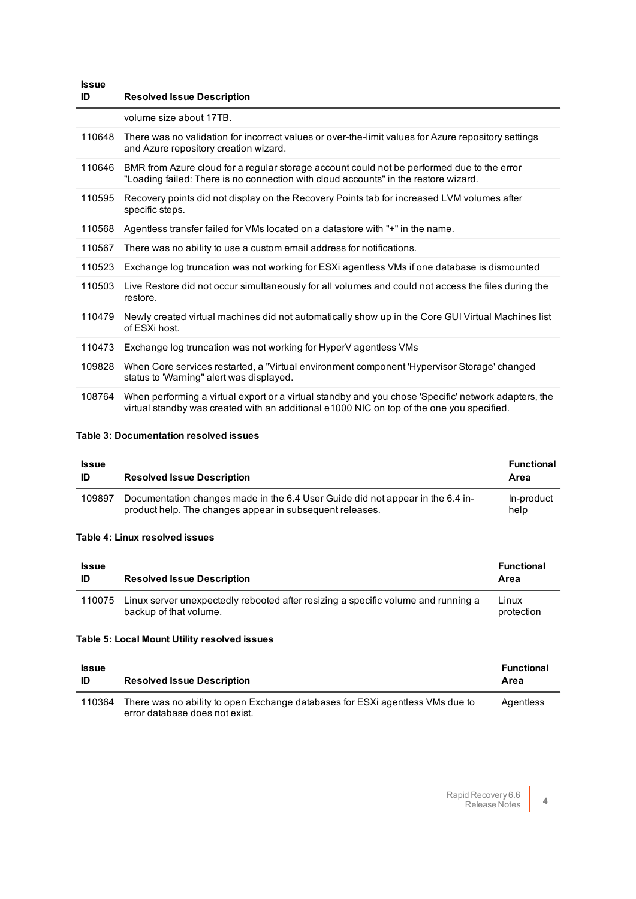| <b>Issue</b><br>ID | <b>Resolved Issue Description</b>                                                                                                                                                                 |
|--------------------|---------------------------------------------------------------------------------------------------------------------------------------------------------------------------------------------------|
|                    | volume size about 17TB.                                                                                                                                                                           |
| 110648             | There was no validation for incorrect values or over-the-limit values for Azure repository settings<br>and Azure repository creation wizard.                                                      |
| 110646             | BMR from Azure cloud for a regular storage account could not be performed due to the error<br>"Loading failed: There is no connection with cloud accounts" in the restore wizard.                 |
| 110595             | Recovery points did not display on the Recovery Points tab for increased LVM volumes after<br>specific steps.                                                                                     |
| 110568             | Agentless transfer failed for VMs located on a datastore with "+" in the name.                                                                                                                    |
| 110567             | There was no ability to use a custom email address for notifications.                                                                                                                             |
| 110523             | Exchange log truncation was not working for ESXi agentless VMs if one database is dismounted                                                                                                      |
| 110503             | Live Restore did not occur simultaneously for all volumes and could not access the files during the<br>restore.                                                                                   |
| 110479             | Newly created virtual machines did not automatically show up in the Core GUI Virtual Machines list<br>of ESXi host.                                                                               |
| 110473             | Exchange log truncation was not working for HyperV agentless VMs                                                                                                                                  |
| 109828             | When Core services restarted, a "Virtual environment component 'Hypervisor Storage' changed<br>status to 'Warning" alert was displayed.                                                           |
| 108764             | When performing a virtual export or a virtual standby and you chose 'Specific' network adapters, the<br>virtual standby was created with an additional e1000 NIC on top of the one you specified. |

### **Table 3: Documentation resolved issues**

### **Issue**

| <b>Issue</b><br>ID | <b>Resolved Issue Description</b>                                                                                                          | <b>Functional</b><br>Area |
|--------------------|--------------------------------------------------------------------------------------------------------------------------------------------|---------------------------|
| 109897             | Documentation changes made in the 6.4 User Guide did not appear in the 6.4 in-<br>product help. The changes appear in subsequent releases. | In-product<br>help        |

#### **Table 4: Linux resolved issues**

| <b>Issue</b><br>ID | <b>Resolved Issue Description</b>                                                                           | <b>Functional</b><br>Area |
|--------------------|-------------------------------------------------------------------------------------------------------------|---------------------------|
| 110075             | Linux server unexpectedly rebooted after resizing a specific volume and running a<br>backup of that volume. | Linux<br>protection       |

### **Table 5: Local Mount Utility resolved issues**

| <b>Issue</b><br>ID | <b>Resolved Issue Description</b>                                                                               | <b>Functional</b><br>Area |
|--------------------|-----------------------------------------------------------------------------------------------------------------|---------------------------|
| 110364             | There was no ability to open Exchange databases for ESXi agentless VMs due to<br>error database does not exist. | Agentless                 |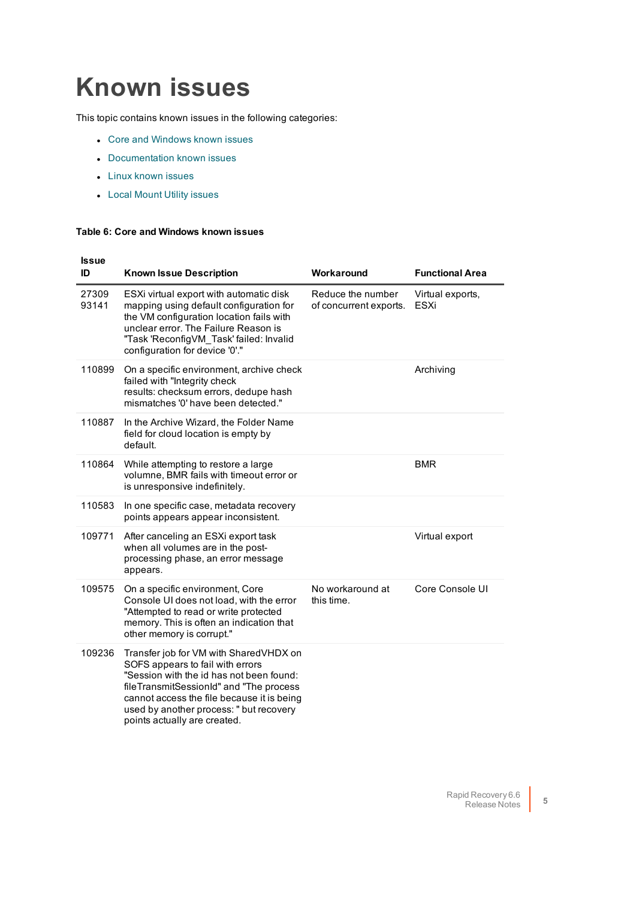# <span id="page-4-0"></span>**Known issues**

<span id="page-4-2"></span>This topic contains known issues in the following categories:

- Core and [Windows](#page-4-1) known issues
- Documentation known issues
- Linux [known](#page-7-1) issues
- Local Mount Utility [issues](#page-7-2)

#### <span id="page-4-1"></span>**Table 6: Core and Windows known issues**

| <b>Issue</b>   |                                                                                                                                                                                                                                                                                            |                                             |                          |
|----------------|--------------------------------------------------------------------------------------------------------------------------------------------------------------------------------------------------------------------------------------------------------------------------------------------|---------------------------------------------|--------------------------|
| ID             | <b>Known Issue Description</b>                                                                                                                                                                                                                                                             | Workaround                                  | <b>Functional Area</b>   |
| 27309<br>93141 | ESXi virtual export with automatic disk<br>mapping using default configuration for<br>the VM configuration location fails with<br>unclear error. The Failure Reason is<br>"Task 'ReconfigVM Task' failed: Invalid<br>configuration for device '0'."                                        | Reduce the number<br>of concurrent exports. | Virtual exports,<br>ESXi |
| 110899         | On a specific environment, archive check<br>failed with "Integrity check<br>results: checksum errors, dedupe hash<br>mismatches '0' have been detected."                                                                                                                                   |                                             | Archiving                |
| 110887         | In the Archive Wizard, the Folder Name<br>field for cloud location is empty by<br>default.                                                                                                                                                                                                 |                                             |                          |
| 110864         | While attempting to restore a large<br>volumne, BMR fails with timeout error or<br>is unresponsive indefinitely.                                                                                                                                                                           |                                             | BMR                      |
| 110583         | In one specific case, metadata recovery<br>points appears appear inconsistent.                                                                                                                                                                                                             |                                             |                          |
| 109771         | After canceling an ESXi export task<br>when all volumes are in the post-<br>processing phase, an error message<br>appears.                                                                                                                                                                 |                                             | Virtual export           |
| 109575         | On a specific environment, Core<br>Console UI does not load, with the error<br>"Attempted to read or write protected<br>memory. This is often an indication that<br>other memory is corrupt."                                                                                              | No workaround at<br>this time.              | Core Console UI          |
| 109236         | Transfer job for VM with SharedVHDX on<br>SOFS appears to fail with errors<br>"Session with the id has not been found:<br>fileTransmitSessionId" and "The process<br>cannot access the file because it is being<br>used by another process: " but recovery<br>points actually are created. |                                             |                          |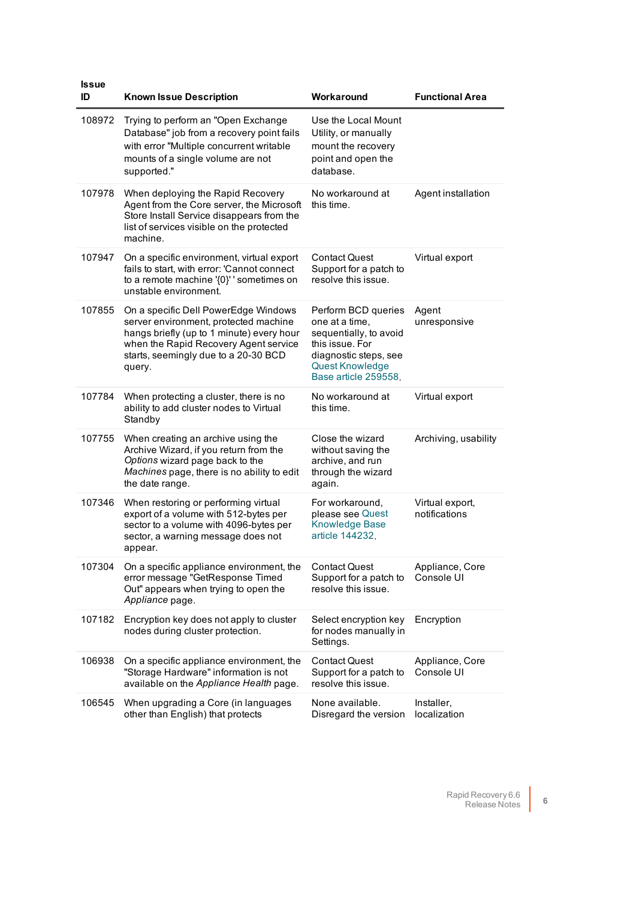| <b>Issue</b><br>ID | <b>Known Issue Description</b>                                                                                                                                                                                        | Workaround                                                                                                                                             | <b>Functional Area</b>           |
|--------------------|-----------------------------------------------------------------------------------------------------------------------------------------------------------------------------------------------------------------------|--------------------------------------------------------------------------------------------------------------------------------------------------------|----------------------------------|
| 108972             | Trying to perform an "Open Exchange<br>Database" job from a recovery point fails<br>with error "Multiple concurrent writable<br>mounts of a single volume are not<br>supported."                                      | Use the Local Mount<br>Utility, or manually<br>mount the recovery<br>point and open the<br>database.                                                   |                                  |
| 107978             | When deploying the Rapid Recovery<br>Agent from the Core server, the Microsoft<br>Store Install Service disappears from the<br>list of services visible on the protected<br>machine.                                  | No workaround at<br>this time.                                                                                                                         | Agent installation               |
| 107947             | On a specific environment, virtual export<br>fails to start, with error: 'Cannot connect<br>to a remote machine '{0}' ' sometimes on<br>unstable environment.                                                         | Contact Quest<br>Support for a patch to<br>resolve this issue.                                                                                         | Virtual export                   |
| 107855             | On a specific Dell PowerEdge Windows<br>server environment, protected machine<br>hangs briefly (up to 1 minute) every hour<br>when the Rapid Recovery Agent service<br>starts, seemingly due to a 20-30 BCD<br>query. | Perform BCD queries<br>one at a time,<br>sequentially, to avoid<br>this issue. For<br>diagnostic steps, see<br>Quest Knowledge<br>Base article 259558. | Agent<br>unresponsive            |
| 107784             | When protecting a cluster, there is no<br>ability to add cluster nodes to Virtual<br>Standby                                                                                                                          | No workaround at<br>this time.                                                                                                                         | Virtual export                   |
| 107755             | When creating an archive using the<br>Archive Wizard, if you return from the<br>Options wizard page back to the<br>Machines page, there is no ability to edit<br>the date range.                                      | Close the wizard<br>without saving the<br>archive, and run<br>through the wizard<br>again.                                                             | Archiving, usability             |
| 107346             | When restoring or performing virtual<br>export of a volume with 512-bytes per<br>sector to a volume with 4096-bytes per<br>sector, a warning message does not<br>appear.                                              | For workaround,<br>please see Quest<br><b>Knowledge Base</b><br>article 144232                                                                         | Virtual export,<br>notifications |
| 107304             | On a specific appliance environment, the<br>error message "GetResponse Timed<br>Out" appears when trying to open the<br>Appliance page.                                                                               | <b>Contact Quest</b><br>Support for a patch to<br>resolve this issue.                                                                                  | Appliance, Core<br>Console UI    |
| 107182             | Encryption key does not apply to cluster<br>nodes during cluster protection.                                                                                                                                          | Select encryption key<br>for nodes manually in<br>Settings.                                                                                            | Encryption                       |
| 106938             | On a specific appliance environment, the<br>"Storage Hardware" information is not<br>available on the Appliance Health page.                                                                                          | <b>Contact Quest</b><br>Support for a patch to<br>resolve this issue.                                                                                  | Appliance, Core<br>Console UI    |
| 106545             | When upgrading a Core (in languages<br>other than English) that protects                                                                                                                                              | None available.<br>Disregard the version                                                                                                               | Installer,<br>localization       |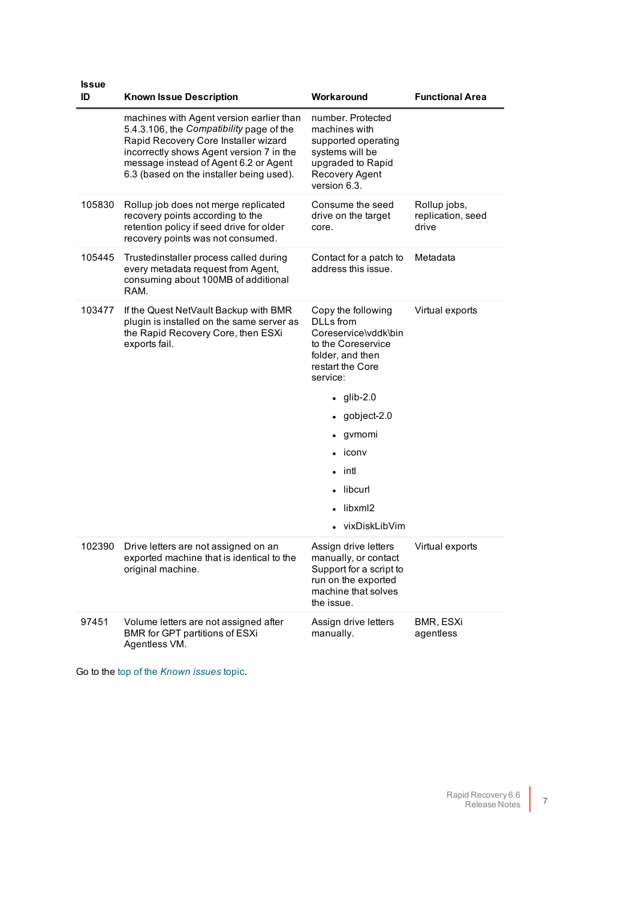| <b>Issue</b><br>ID | <b>Known Issue Description</b>                                                                                                                                                                                                                                | Workaround                                                                                                                                                                                                                                                                  | <b>Functional Area</b>                     |
|--------------------|---------------------------------------------------------------------------------------------------------------------------------------------------------------------------------------------------------------------------------------------------------------|-----------------------------------------------------------------------------------------------------------------------------------------------------------------------------------------------------------------------------------------------------------------------------|--------------------------------------------|
|                    | machines with Agent version earlier than<br>5.4.3.106, the Compatibility page of the<br>Rapid Recovery Core Installer wizard<br>incorrectly shows Agent version 7 in the<br>message instead of Agent 6.2 or Agent<br>6.3 (based on the installer being used). | number. Protected<br>machines with<br>supported operating<br>systems will be<br>upgraded to Rapid<br>Recovery Agent<br>version 6.3.                                                                                                                                         |                                            |
| 105830             | Rollup job does not merge replicated<br>recovery points according to the<br>retention policy if seed drive for older<br>recovery points was not consumed.                                                                                                     | Consume the seed<br>drive on the target<br>core.                                                                                                                                                                                                                            | Rollup jobs,<br>replication, seed<br>drive |
| 105445             | Trustedinstaller process called during<br>every metadata request from Agent,<br>consuming about 100MB of additional<br>RAM.                                                                                                                                   | Contact for a patch to<br>address this issue.                                                                                                                                                                                                                               | Metadata                                   |
| 103477             | If the Quest NetVault Backup with BMR<br>plugin is installed on the same server as<br>the Rapid Recovery Core, then ESXi<br>exports fail.                                                                                                                     | Copy the following<br><b>DLLs</b> from<br>Coreservice\vddk\bin<br>to the Coreservice<br>folder, and then<br>restart the Core<br>service:<br>$qlib-2.0$<br>$\bullet$<br>gobject-2.0<br>gymomi<br>iconv<br>intl<br>$\bullet$<br>libcurl<br>libxml2<br>$\bullet$ vixDiskLibVim | Virtual exports                            |
| 102390             | Drive letters are not assigned on an<br>exported machine that is identical to the<br>original machine.                                                                                                                                                        | Assign drive letters<br>manually, or contact<br>Support for a script to<br>run on the exported<br>machine that solves<br>the issue.                                                                                                                                         | Virtual exports                            |
| 97451              | Volume letters are not assigned after<br>BMR for GPT partitions of ESXi<br>Agentless VM.                                                                                                                                                                      | Assign drive letters<br>manually.                                                                                                                                                                                                                                           | BMR, ESXi<br>agentless                     |

Go to the top of the *[Known](#page-4-2) issues* topic.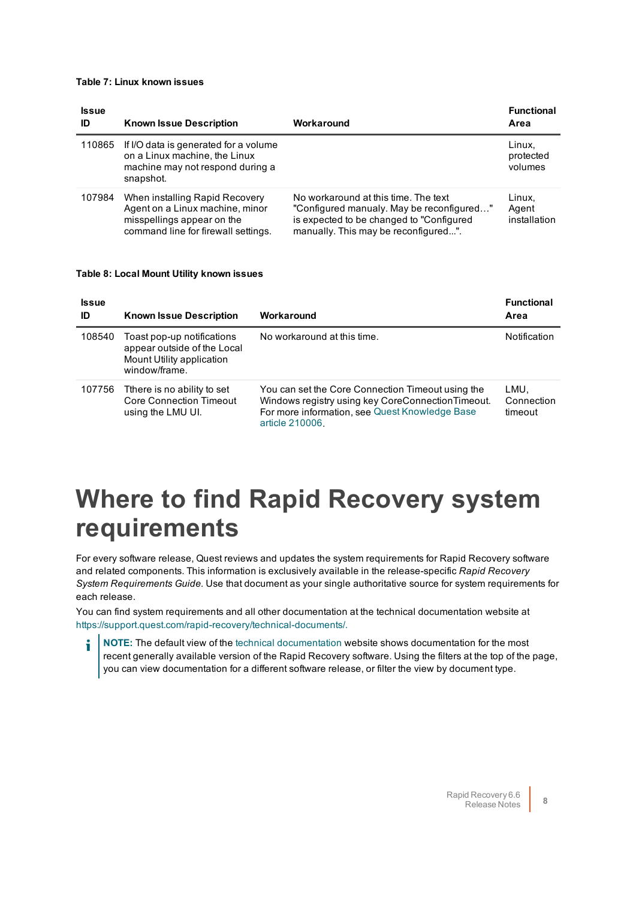#### <span id="page-7-1"></span>**Table 7: Linux known issues**

| <b>Issue</b><br>ID | <b>Known Issue Description</b>                                                                                                         | Workaround                                                                                                                                                            | <b>Functional</b><br>Area       |
|--------------------|----------------------------------------------------------------------------------------------------------------------------------------|-----------------------------------------------------------------------------------------------------------------------------------------------------------------------|---------------------------------|
| 110865             | If I/O data is generated for a volume<br>on a Linux machine, the Linux<br>machine may not respond during a<br>snapshot.                |                                                                                                                                                                       | Linux,<br>protected<br>volumes  |
| 107984             | When installing Rapid Recovery<br>Agent on a Linux machine, minor<br>misspellings appear on the<br>command line for firewall settings. | No workaround at this time. The text<br>"Configured manualy. May be reconfigured"<br>is expected to be changed to "Configured<br>manually. This may be reconfigured". | Linux,<br>Agent<br>installation |

#### <span id="page-7-2"></span>**Table 8: Local Mount Utility known issues**

| <b>Issue</b><br>ID | <b>Known Issue Description</b>                                                                          | Workaround                                                                                                                                                                  | <b>Functional</b><br>Area     |
|--------------------|---------------------------------------------------------------------------------------------------------|-----------------------------------------------------------------------------------------------------------------------------------------------------------------------------|-------------------------------|
| 108540             | Toast pop-up notifications<br>appear outside of the Local<br>Mount Utility application<br>window/frame. | No workaround at this time.                                                                                                                                                 | <b>Notification</b>           |
| 107756             | There is no ability to set<br><b>Core Connection Timeout</b><br>using the LMU UI.                       | You can set the Core Connection Timeout using the<br>Windows registry using key CoreConnectionTimeout.<br>For more information, see Quest Knowledge Base<br>article 210006. | LMU.<br>Connection<br>timeout |

## <span id="page-7-0"></span>**Where to find Rapid Recovery system requirements**

For every software release, Quest reviews and updates the system requirements for Rapid Recovery software and related components. This information is exclusively available in the release-specific *Rapid Recovery System Requirements Guide.* Use that document as your single authoritative source for system requirements for each release.

You can find system requirements and all other documentation at the technical documentation website at [https://support.quest.com/rapid-recovery/technical-documents/.](https://support.quest.com/rapid-recovery/technical-documents/)

i **NOTE:** The default view of the technical [documentation](https://support.quest.com/rapid-recovery/technical-documents/) website shows documentation for the most recent generally available version of the Rapid Recovery software. Using the filters at the top of the page, you can view documentation for a different software release, or filter the view by document type.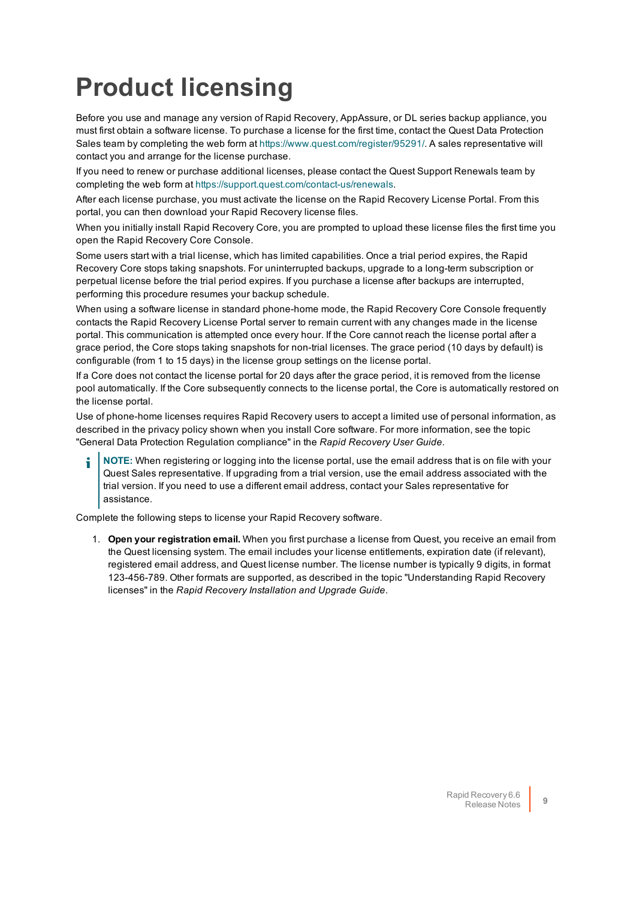# <span id="page-8-0"></span>**Product licensing**

Before you use and manage any version of Rapid Recovery, AppAssure, or DL series backup appliance, you must first obtain a software license. To purchase a license for the first time, contact the Quest Data Protection Sales team by completing the web form at [https://www.quest.com/register/95291/.](https://www.quest.com/register/95291/) A sales representative will contact you and arrange for the license purchase.

If you need to renew or purchase additional licenses, please contact the Quest Support Renewals team by completing the web form at <https://support.quest.com/contact-us/renewals>.

After each license purchase, you must activate the license on the Rapid Recovery License Portal. From this portal, you can then download your Rapid Recovery license files.

When you initially install Rapid Recovery Core, you are prompted to upload these license files the first time you open the Rapid Recovery Core Console.

Some users start with a trial license, which has limited capabilities. Once a trial period expires, the Rapid Recovery Core stops taking snapshots. For uninterrupted backups, upgrade to a long-term subscription or perpetual license before the trial period expires. If you purchase a license after backups are interrupted, performing this procedure resumes your backup schedule.

When using a software license in standard phone-home mode, the Rapid Recovery Core Console frequently contacts the Rapid Recovery License Portal server to remain current with any changes made in the license portal. This communication is attempted once every hour. If the Core cannot reach the license portal after a grace period, the Core stops taking snapshots for non-trial licenses. The grace period (10 days by default) is configurable (from 1 to 15 days) in the license group settings on the license portal.

If a Core does not contact the license portal for 20 days after the grace period, it is removed from the license pool automatically. If the Core subsequently connects to the license portal, the Core is automatically restored on the license portal.

Use of phone-home licenses requires Rapid Recovery users to accept a limited use of personal information, as described in the privacy policy shown when you install Core software. For more information, see the topic "General Data Protection Regulation compliance" in the *Rapid Recovery User Guide*.

**NOTE:** When registering or logging into the license portal, use the email address that is on file with your Quest Sales representative. If upgrading from a trial version, use the email address associated with the trial version. If you need to use a different email address, contact your Sales representative for assistance.

Complete the following steps to license your Rapid Recovery software.

1. **Open your registration email.** When you first purchase a license from Quest, you receive an email from the Quest licensing system. The email includes your license entitlements, expiration date (if relevant), registered email address, and Quest license number. The license number is typically 9 digits, in format 123-456-789. Other formats are supported, as described in the topic "Understanding Rapid Recovery licenses" in the *Rapid Recovery Installation and Upgrade Guide*.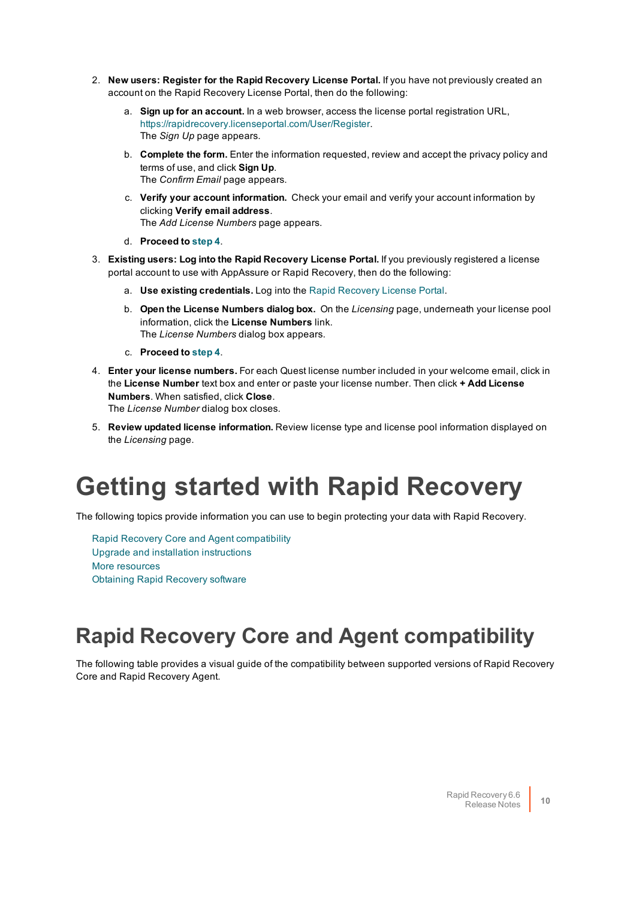- 2. **New users: Register for the Rapid Recovery License Portal.** If you have not previously created an account on the Rapid Recovery License Portal, then do the following:
	- a. **Sign up for an account.** In a web browser, access the license portal registration URL, <https://rapidrecovery.licenseportal.com/User/Register>. The *Sign Up* page appears.
	- b. **Complete the form.** Enter the information requested, review and accept the privacy policy and terms of use, and click **Sign Up**. The *Confirm Email* page appears.
	- c. **Verify your account information.** Check your email and verify your account information by clicking **Verify email address**. The *Add License Numbers* page appears.
	- d. **Proceed to [step](#page-9-1) 4**.
- 3. **Existing users: Log into the Rapid Recovery License Portal.** If you previously registered a license portal account to use with AppAssure or Rapid Recovery, then do the following:
	- a. **Use existing credentials.** Log into the Rapid [Recovery](https://licenseportal.com/) License Portal.
	- b. **Open the License Numbers dialog box.** On the *Licensing* page, underneath your license pool information, click the **License Numbers** link. The *License Numbers* dialog box appears.
	- c. **Proceed to [step](#page-9-1) 4**.
- <span id="page-9-1"></span>4. **Enter your license numbers.** For each Quest license number included in your welcome email, click in the **License Number** text box and enter or paste your license number. Then click **+ Add License Numbers**. When satisfied, click **Close**. The *License Number* dialog box closes.
- <span id="page-9-0"></span>5. **Review updated license information.** Review license type and license pool information displayed on the *Licensing* page.

## **Getting started with Rapid Recovery**

The following topics provide information you can use to begin protecting your data with Rapid Recovery.

Rapid Recovery Core and Agent [compatibility](#page-9-2) Upgrade [and installation](#page-10-0) instructions More [resources](#page-11-0) Obtaining [Rapid Recovery](#page-11-1) software

### <span id="page-9-2"></span>**Rapid Recovery Core and Agent compatibility**

The following table provides a visual guide of the compatibility between supported versions of Rapid Recovery Core and Rapid Recovery Agent.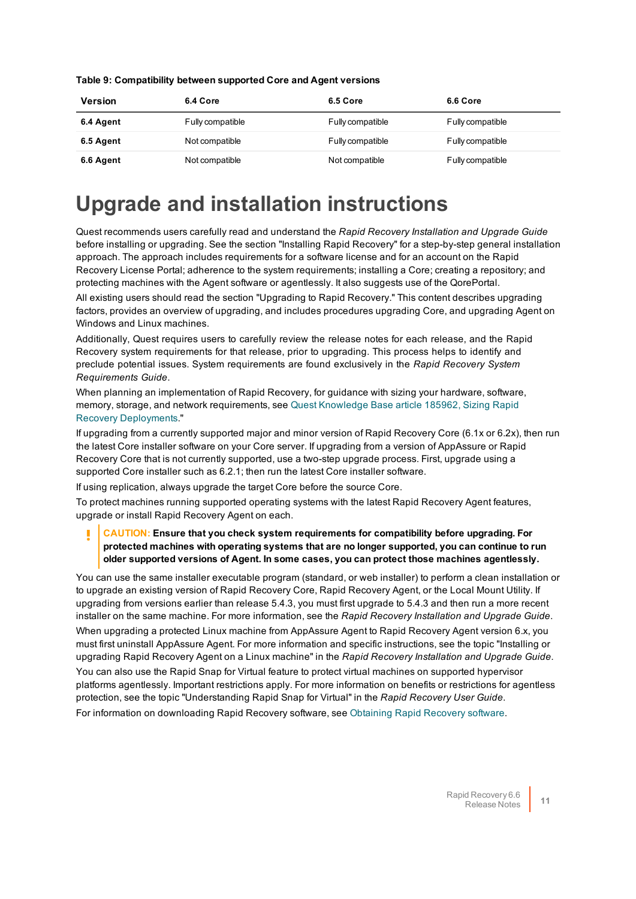|  | Table 9: Compatibility between supported Core and Agent versions |
|--|------------------------------------------------------------------|
|  |                                                                  |

| <b>Version</b> | 6.4 Core         | 6.5 Core         | 6.6 Core         |
|----------------|------------------|------------------|------------------|
| 6.4 Agent      | Fully compatible | Fully compatible | Fully compatible |
| 6.5 Agent      | Not compatible   | Fully compatible | Fully compatible |
| 6.6 Agent      | Not compatible   | Not compatible   | Fully compatible |

### <span id="page-10-0"></span>**Upgrade and installation instructions**

Quest recommends users carefully read and understand the *Rapid Recovery Installation and Upgrade Guide* before installing or upgrading. See the section "Installing Rapid Recovery" for a step-by-step general installation approach. The approach includes requirements for a software license and for an account on the Rapid Recovery License Portal; adherence to the system requirements; installing a Core; creating a repository; and protecting machines with the Agent software or agentlessly. It also suggests use of the QorePortal.

All existing users should read the section "Upgrading to Rapid Recovery." This content describes upgrading factors, provides an overview of upgrading, and includes procedures upgrading Core, and upgrading Agent on Windows and Linux machines.

Additionally, Quest requires users to carefully review the release notes for each release, and the Rapid Recovery system requirements for that release, prior to upgrading. This process helps to identify and preclude potential issues. System requirements are found exclusively in the *Rapid Recovery System Requirements Guide*.

When planning an implementation of Rapid Recovery, for guidance with sizing your hardware, software, memory, storage, and network requirements, see Quest [Knowledge](https://support.quest.com/kb/185962) Base article 185962, Sizing Rapid Recovery [Deployments](https://support.quest.com/kb/185962)."

If upgrading from a currently supported major and minor version of Rapid Recovery Core (6.1x or 6.2x), then run the latest Core installer software on your Core server. If upgrading from a version of AppAssure or Rapid Recovery Core that is not currently supported, use a two-step upgrade process. First, upgrade using a supported Core installer such as 6.2.1; then run the latest Core installer software.

If using replication, always upgrade the target Core before the source Core.

To protect machines running supported operating systems with the latest Rapid Recovery Agent features, upgrade or install Rapid Recovery Agent on each.

### **CAUTION: Ensure that you check system requirements for compatibility before upgrading. For protected machines with operating systems that are no longer supported, you can continue to run older supported versions of Agent. In some cases, you can protect those machines agentlessly.**

You can use the same installer executable program (standard, or web installer) to perform a clean installation or to upgrade an existing version of Rapid Recovery Core, Rapid Recovery Agent, or the Local Mount Utility. If upgrading from versions earlier than release 5.4.3, you must first upgrade to 5.4.3 and then run a more recent installer on the same machine. For more information, see the *Rapid Recovery Installation and Upgrade Guide*. When upgrading a protected Linux machine from AppAssure Agent to Rapid Recovery Agent version 6.x, you must first uninstall AppAssure Agent. For more information and specific instructions, see the topic "Installing or

upgrading Rapid Recovery Agent on a Linux machine" in the *Rapid Recovery Installation and Upgrade Guide*. You can also use the Rapid Snap for Virtual feature to protect virtual machines on supported hypervisor platforms agentlessly. Important restrictions apply. For more information on benefits or restrictions for agentless protection, see the topic "Understanding Rapid Snap for Virtual" in the *Rapid Recovery User Guide*.

For information on downloading Rapid Recovery software, see Obtaining [Rapid Recovery](#page-11-1) software.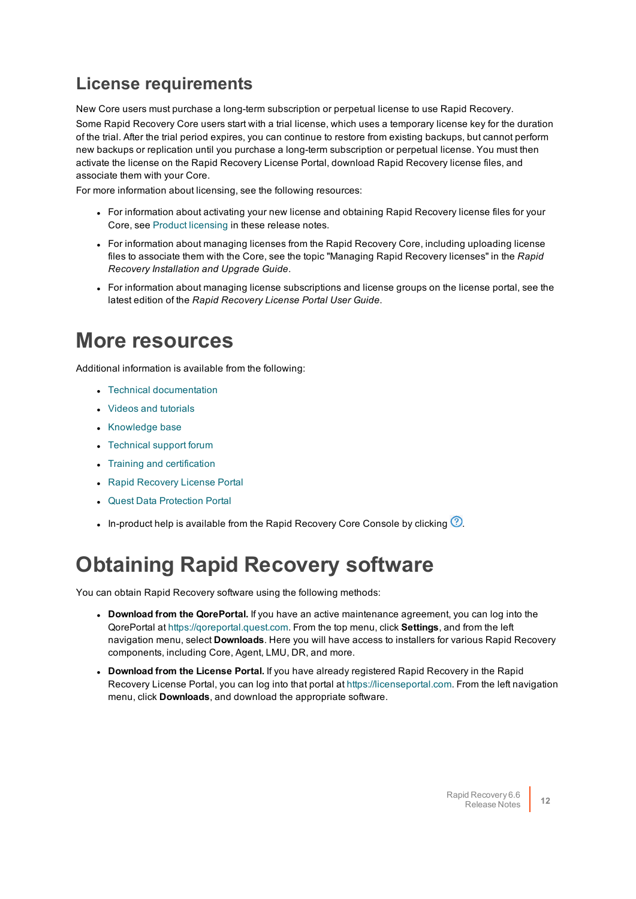### **License requirements**

New Core users must purchase a long-term subscription or perpetual license to use Rapid Recovery.

Some Rapid Recovery Core users start with a trial license, which uses a temporary license key for the duration of the trial. After the trial period expires, you can continue to restore from existing backups, but cannot perform new backups or replication until you purchase a long-term subscription or perpetual license. You must then activate the license on the Rapid Recovery License Portal, download Rapid Recovery license files, and associate them with your Core.

For more information about licensing, see the following resources:

- For information about activating your new license and obtaining Rapid Recovery license files for your Core, see Product [licensing](#page-8-0) in these release notes.
- For information about managing licenses from the Rapid Recovery Core, including uploading license files to associate them with the Core, see the topic "Managing Rapid Recovery licenses" in the *Rapid Recovery Installation and Upgrade Guide*.
- For information about managing license subscriptions and license groups on the license portal, see the latest edition of the *Rapid Recovery License Portal User Guide*.

### <span id="page-11-0"></span>**More resources**

Additional information is available from the following:

- Technical [documentation](https://support.quest.com/rapid-recovery/technical-documents)
- Videos and [tutorials](https://support.quest.com/rapid-recovery/videos)
- [Knowledge](https://support.quest.com/rapid-recovery/kb) base
- [Technical](https://www.quest.com/community/products/rapid-recovery/f/forum) support forum
- Training and [certification](https://support.quest.com/rapid-recovery/training)
- [Rapid Recovery](https://licenseportal.com/) License Portal
- **.** Quest Data [Protection](https://dataprotection.quest.com/dashboard) Portal
- In-product help is available from the Rapid Recovery Core Console by clicking  $\mathcal{O}$ .

### <span id="page-11-1"></span>**Obtaining Rapid Recovery software**

You can obtain Rapid Recovery software using the following methods:

- <sup>l</sup> **Download from the QorePortal.** If you have an active maintenance agreement, you can log into the QorePortal at [https://qoreportal.quest.com](https://qoreportal.quest.com/). From the top menu, click **Settings**, and from the left navigation menu, select **Downloads**. Here you will have access to installers for various Rapid Recovery components, including Core, Agent, LMU, DR, and more.
- <sup>l</sup> **Download from the License Portal.** If you have already registered Rapid Recovery in the Rapid Recovery License Portal, you can log into that portal at [https://licenseportal.com](https://licenseportal.com/). From the left navigation menu, click **Downloads**, and download the appropriate software.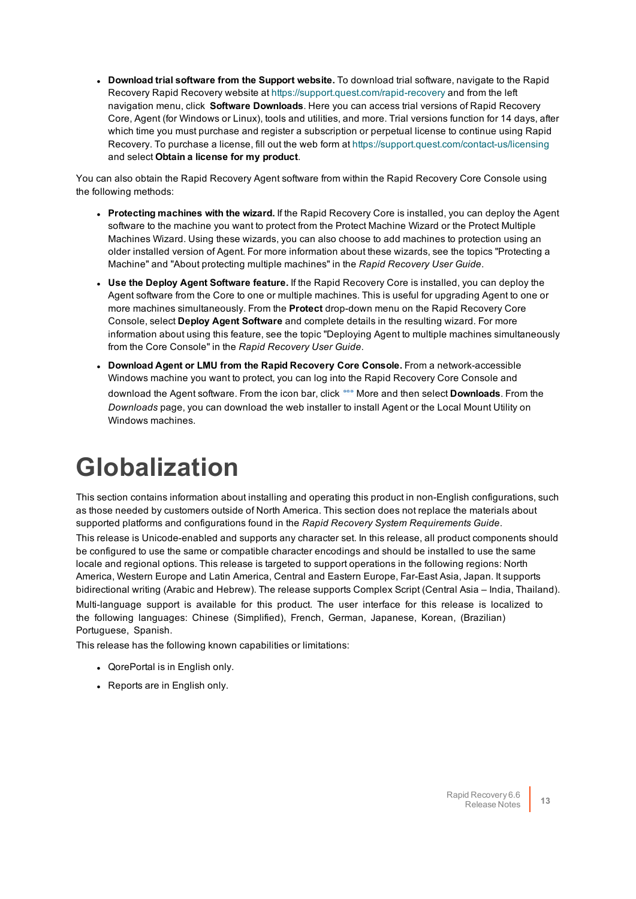<sup>l</sup> **Download trial software from the Support website.** To download trial software, navigate to the Rapid Recovery Rapid Recovery website at<https://support.quest.com/rapid-recovery> and from the left navigation menu, click **Software Downloads**. Here you can access trial versions of Rapid Recovery Core, Agent (for Windows or Linux), tools and utilities, and more. Trial versions function for 14 days, after which time you must purchase and register a subscription or perpetual license to continue using Rapid Recovery. To purchase a license, fill out the web form at<https://support.quest.com/contact-us/licensing> and select **Obtain a license for my product**.

You can also obtain the Rapid Recovery Agent software from within the Rapid Recovery Core Console using the following methods:

- <sup>l</sup> **Protecting machines with the wizard.** If the Rapid Recovery Core is installed, you can deploy the Agent software to the machine you want to protect from the Protect Machine Wizard or the Protect Multiple Machines Wizard. Using these wizards, you can also choose to add machines to protection using an older installed version of Agent. For more information about these wizards, see the topics "Protecting a Machine" and "About protecting multiple machines" in the *Rapid Recovery User Guide*.
- <sup>l</sup> **Use the Deploy Agent Software feature.** If the Rapid Recovery Core is installed, you can deploy the Agent software from the Core to one or multiple machines. This is useful for upgrading Agent to one or more machines simultaneously. From the **Protect** drop-down menu on the Rapid Recovery Core Console, select **Deploy Agent Software** and complete details in the resulting wizard. For more information about using this feature, see the topic "Deploying Agent to multiple machines simultaneously from the Core Console" in the *Rapid Recovery User Guide*.
- <sup>l</sup> **Download Agent or LMU from the Rapid Recovery Core Console.** From a network-accessible Windows machine you want to protect, you can log into the Rapid Recovery Core Console and download the Agent software. From the icon bar, click \*\*\* More and then select **Downloads**. From the *Downloads* page, you can download the web installer to install Agent or the Local Mount Utility on Windows machines.

# <span id="page-12-0"></span>**Globalization**

This section contains information about installing and operating this product in non-English configurations, such as those needed by customers outside of North America. This section does not replace the materials about supported platforms and configurations found in the *Rapid Recovery System Requirements Guide*.

This release is Unicode-enabled and supports any character set. In this release, all product components should be configured to use the same or compatible character encodings and should be installed to use the same locale and regional options. This release is targeted to support operations in the following regions: North America, Western Europe and Latin America, Central and Eastern Europe, Far-East Asia, Japan. It supports bidirectional writing (Arabic and Hebrew). The release supports Complex Script (Central Asia – India, Thailand). Multi-language support is available for this product. The user interface for this release is localized to the following languages: Chinese (Simplified), French, German, Japanese, Korean, (Brazilian) Portuguese, Spanish.

This release has the following known capabilities or limitations:

- QorePortal is in English only.
- Reports are in English only.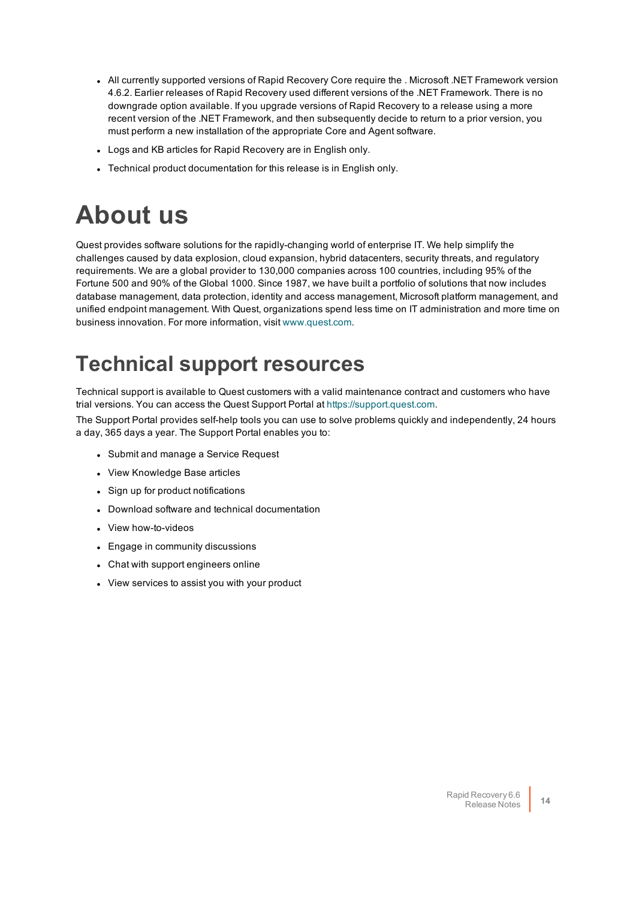- All currently supported versions of Rapid Recovery Core require the . Microsoft .NET Framework version 4.6.2. Earlier releases of Rapid Recovery used different versions of the .NET Framework. There is no downgrade option available. If you upgrade versions of Rapid Recovery to a release using a more recent version of the .NET Framework, and then subsequently decide to return to a prior version, you must perform a new installation of the appropriate Core and Agent software.
- Logs and KB articles for Rapid Recovery are in English only.
- <span id="page-13-0"></span>• Technical product documentation for this release is in English only.

## **About us**

Quest provides software solutions for the rapidly-changing world of enterprise IT. We help simplify the challenges caused by data explosion, cloud expansion, hybrid datacenters, security threats, and regulatory requirements. We are a global provider to 130,000 companies across 100 countries, including 95% of the Fortune 500 and 90% of the Global 1000. Since 1987, we have built a portfolio of solutions that now includes database management, data protection, identity and access management, Microsoft platform management, and unified endpoint management. With Quest, organizations spend less time on IT administration and more time on business innovation. For more information, visit [www.quest.com](https://www.quest.com/company/contact-us.aspx).

### **Technical support resources**

Technical support is available to Quest customers with a valid maintenance contract and customers who have trial versions. You can access the Quest Support Portal at [https://support.quest.com](https://support.quest.com/).

The Support Portal provides self-help tools you can use to solve problems quickly and independently, 24 hours a day, 365 days a year. The Support Portal enables you to:

- Submit and manage a Service Request
- View Knowledge Base articles
- Sign up for product notifications
- Download software and technical documentation
- View how-to-videos
- Engage in community discussions
- Chat with support engineers online
- View services to assist you with your product